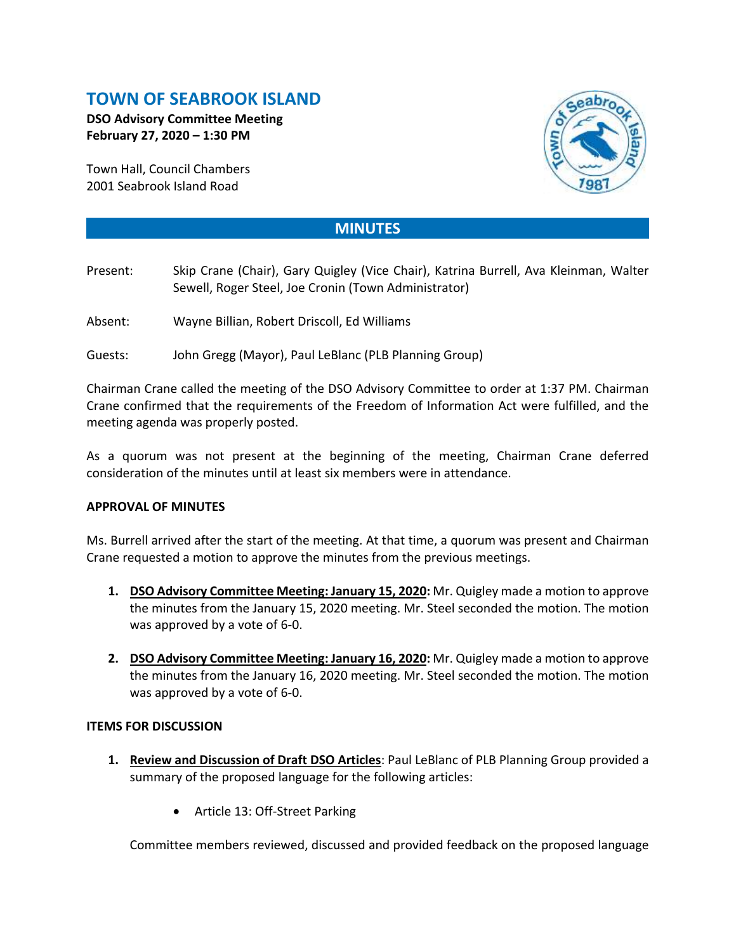# **TOWN OF SEABROOK ISLAND**

**DSO Advisory Committee Meeting February 27, 2020 – 1:30 PM**

Town Hall, Council Chambers 2001 Seabrook Island Road



## **MINUTES**

- Present: Skip Crane (Chair), Gary Quigley (Vice Chair), Katrina Burrell, Ava Kleinman, Walter Sewell, Roger Steel, Joe Cronin (Town Administrator)
- Absent: Wayne Billian, Robert Driscoll, Ed Williams
- Guests: John Gregg (Mayor), Paul LeBlanc (PLB Planning Group)

Chairman Crane called the meeting of the DSO Advisory Committee to order at 1:37 PM. Chairman Crane confirmed that the requirements of the Freedom of Information Act were fulfilled, and the meeting agenda was properly posted.

As a quorum was not present at the beginning of the meeting, Chairman Crane deferred consideration of the minutes until at least six members were in attendance.

### **APPROVAL OF MINUTES**

Ms. Burrell arrived after the start of the meeting. At that time, a quorum was present and Chairman Crane requested a motion to approve the minutes from the previous meetings.

- **1. DSO Advisory Committee Meeting: January 15, 2020:** Mr. Quigley made a motion to approve the minutes from the January 15, 2020 meeting. Mr. Steel seconded the motion. The motion was approved by a vote of 6-0.
- **2. DSO Advisory Committee Meeting: January 16, 2020:** Mr. Quigley made a motion to approve the minutes from the January 16, 2020 meeting. Mr. Steel seconded the motion. The motion was approved by a vote of 6-0.

### **ITEMS FOR DISCUSSION**

- **1. Review and Discussion of Draft DSO Articles**: Paul LeBlanc of PLB Planning Group provided a summary of the proposed language for the following articles:
	- Article 13: Off-Street Parking

Committee members reviewed, discussed and provided feedback on the proposed language